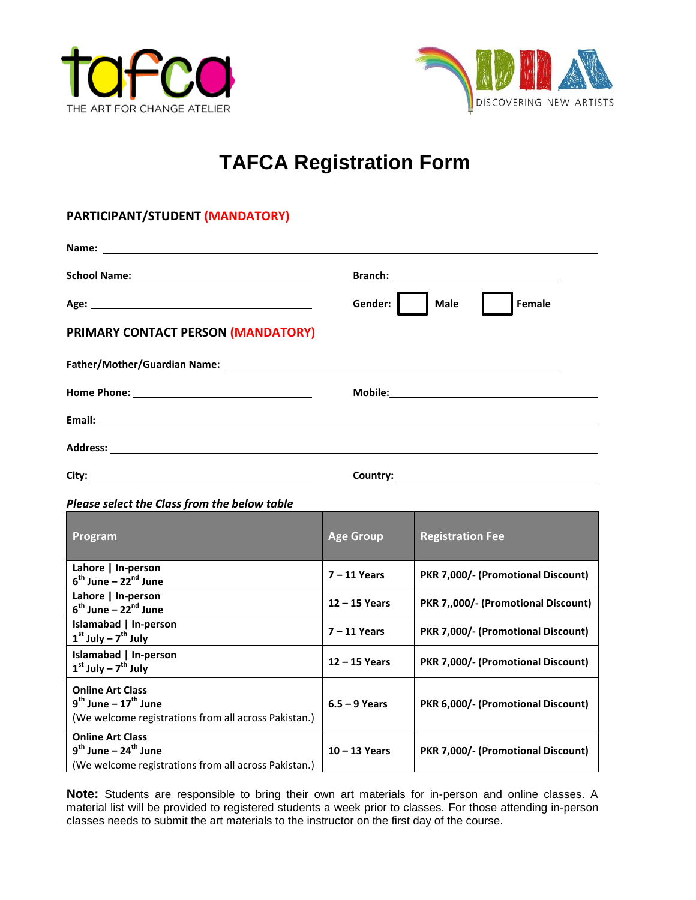



## **TAFCA Registration Form**

## **PARTICIPANT/STUDENT (MANDATORY)**

|                                                                                                                                                                                                                                     | Gender:<br><b>Male</b> | Female |
|-------------------------------------------------------------------------------------------------------------------------------------------------------------------------------------------------------------------------------------|------------------------|--------|
| PRIMARY CONTACT PERSON (MANDATORY)                                                                                                                                                                                                  |                        |        |
|                                                                                                                                                                                                                                     |                        |        |
|                                                                                                                                                                                                                                     |                        |        |
|                                                                                                                                                                                                                                     |                        |        |
| Address: <u>Address:</u> Address: Address: Address: Address: Address: Address: Address: Address: Address: Address: Address: Address: Address: Address: Address: Address: Address: Address: Address: Address: Address: Address: Addr |                        |        |
|                                                                                                                                                                                                                                     |                        |        |
| Please select the Class from the below table                                                                                                                                                                                        |                        |        |
|                                                                                                                                                                                                                                     |                        |        |

| Program                                                                                                                         | <b>Age Group</b> | <b>Registration Fee</b>             |
|---------------------------------------------------------------------------------------------------------------------------------|------------------|-------------------------------------|
| Lahore   In-person<br>$6th$ June – 22 $nd$ June                                                                                 | $7 - 11$ Years   | PKR 7,000/- (Promotional Discount)  |
| Lahore   In-person<br>$6th$ June – 22 $nd$ June                                                                                 | $12 - 15$ Years  | PKR 7,,000/- (Promotional Discount) |
| Islamabad   In-person<br>$1st$ July – $7th$ July                                                                                | $7 - 11$ Years   | PKR 7,000/- (Promotional Discount)  |
| Islamabad   In-person<br>$1st$ July – $7th$ July                                                                                | $12 - 15$ Years  | PKR 7,000/- (Promotional Discount)  |
| <b>Online Art Class</b><br>$9^{th}$ June – 17 <sup>th</sup> June<br>(We welcome registrations from all across Pakistan.)        | $6.5 - 9$ Years  | PKR 6,000/- (Promotional Discount)  |
| <b>Online Art Class</b><br>$9^{\text{th}}$ June – 24 <sup>th</sup> June<br>(We welcome registrations from all across Pakistan.) | $10 - 13$ Years  | PKR 7,000/- (Promotional Discount)  |

**Note:** Students are responsible to bring their own art materials for in-person and online classes. A material list will be provided to registered students a week prior to classes. For those attending in-person classes needs to submit the art materials to the instructor on the first day of the course.